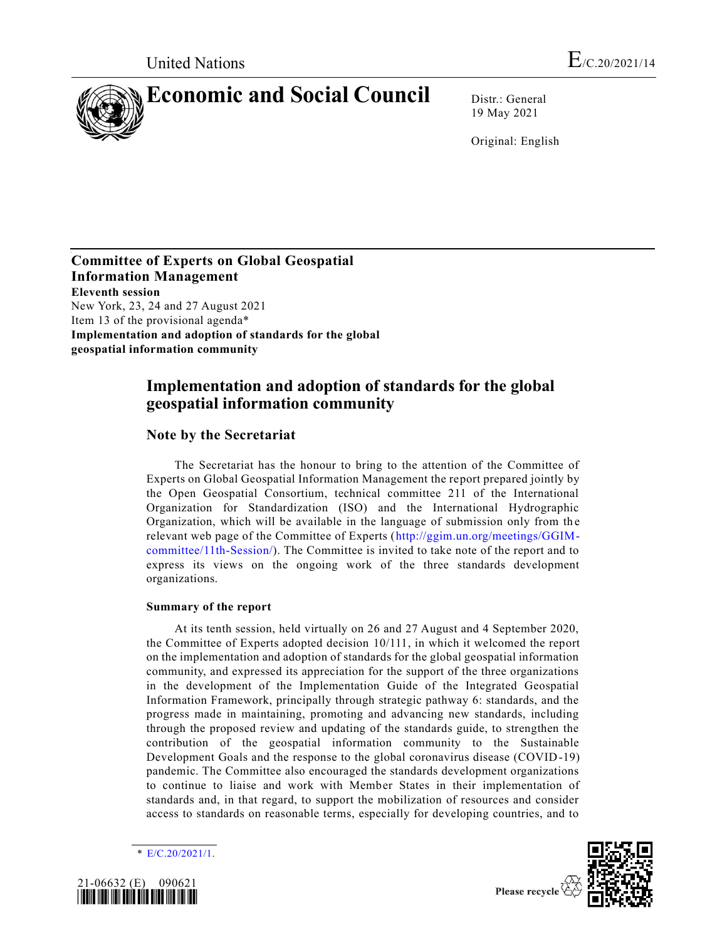

19 May 2021

Original: English

## **Committee of Experts on Global Geospatial Information Management Eleventh session** New York, 23, 24 and 27 August 2021

Item 13 of the provisional agenda\* **Implementation and adoption of standards for the global geospatial information community**

## **Implementation and adoption of standards for the global geospatial information community**

## **Note by the Secretariat**

The Secretariat has the honour to bring to the attention of the Committee of Experts on Global Geospatial Information Management the report prepared jointly by the Open Geospatial Consortium, technical committee 211 of the International Organization for Standardization (ISO) and the International Hydrographic Organization, which will be available in the language of submission only from th e relevant web page of the Committee of Experts [\(http://ggim.un.org/meetings/GGIM](http://ggim.un.org/meetings/GGIM-committee/11th-Session/)[committee/11th-Session/\)](http://ggim.un.org/meetings/GGIM-committee/11th-Session/). The Committee is invited to take note of the report and to express its views on the ongoing work of the three standards development organizations.

## **Summary of the report**

At its tenth session, held virtually on 26 and 27 August and 4 September 2020, the Committee of Experts adopted decision 10/111, in which it welcomed the report on the implementation and adoption of standards for the global geospatial information community, and expressed its appreciation for the support of the three organizations in the development of the Implementation Guide of the Integrated Geospatial Information Framework, principally through strategic pathway 6: standards, and the progress made in maintaining, promoting and advancing new standards, including through the proposed review and updating of the standards guide, to strengthen the contribution of the geospatial information community to the Sustainable Development Goals and the response to the global coronavirus disease (COVID-19) pandemic. The Committee also encouraged the standards development organizations to continue to liaise and work with Member States in their implementation of standards and, in that regard, to support the mobilization of resources and consider access to standards on reasonable terms, especially for developing countries, and to